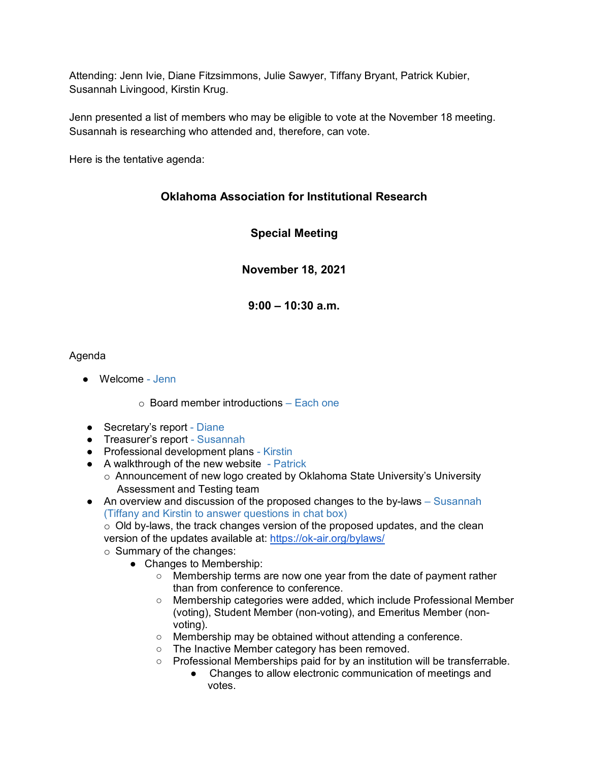Attending: Jenn Ivie, Diane Fitzsimmons, Julie Sawyer, Tiffany Bryant, Patrick Kubier, Susannah Livingood, Kirstin Krug.

Jenn presented a list of members who may be eligible to vote at the November 18 meeting. Susannah is researching who attended and, therefore, can vote.

Here is the tentative agenda:

## **Oklahoma Association for Institutional Research**

**Special Meeting**

**November 18, 2021**

**9:00 – 10:30 a.m.**

## Agenda

● Welcome - Jenn

 $\circ$  Board member introductions – Each one

- Secretary's report Diane
- Treasurer's report Susannah
- Professional development plans Kirstin
- A walkthrough of the new website Patrick
	- o Announcement of new logo created by Oklahoma State University's University Assessment and Testing team
- $\bullet$  An overview and discussion of the proposed changes to the by-laws  $-$  Susannah (Tiffany and Kirstin to answer questions in chat box)

o Old by-laws, the track changes version of the proposed updates, and the clean version of the updates available at: [https://ok-air.org/bylaws/](https://nam02.safelinks.protection.outlook.com/?url=https%3A%2F%2Fok-air.org%2Fbylaws%2F&data=04%7C01%7Cjennifer.ivie%40tulsacc.edu%7C30dab3d630fa429cbb5508d998884334%7Ceb5d9dc493c645578c2390ef7fa05b96%7C0%7C0%7C637708533288695395%7CUnknown%7CTWFpbGZsb3d8eyJWIjoiMC4wLjAwMDAiLCJQIjoiV2luMzIiLCJBTiI6Ik1haWwiLCJXVCI6Mn0%3D%7C1000&sdata=PQBBlnKiAXC%2BHdseDtLve2lYtjmaeYABvYV4KB8S%2FD0%3D&reserved=0)

- o Summary of the changes:
	- Changes to Membership:
		- Membership terms are now one year from the date of payment rather than from conference to conference.
		- Membership categories were added, which include Professional Member (voting), Student Member (non-voting), and Emeritus Member (nonvoting).
		- Membership may be obtained without attending a conference.
		- The Inactive Member category has been removed.
		- Professional Memberships paid for by an institution will be transferrable.
			- Changes to allow electronic communication of meetings and votes.